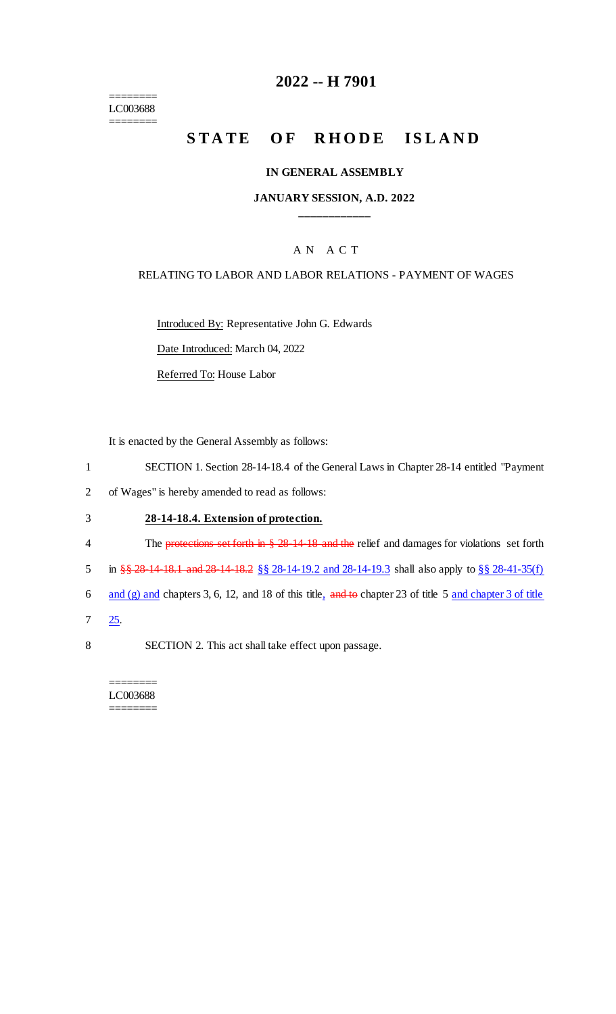======== LC003688 ========

# **2022 -- H 7901**

# **STATE OF RHODE ISLAND**

#### **IN GENERAL ASSEMBLY**

## **JANUARY SESSION, A.D. 2022 \_\_\_\_\_\_\_\_\_\_\_\_**

## A N A C T

#### RELATING TO LABOR AND LABOR RELATIONS - PAYMENT OF WAGES

Introduced By: Representative John G. Edwards

Date Introduced: March 04, 2022

Referred To: House Labor

It is enacted by the General Assembly as follows:

- 1 SECTION 1. Section 28-14-18.4 of the General Laws in Chapter 28-14 entitled "Payment
- 2 of Wages" is hereby amended to read as follows:

#### 3 **28-14-18.4. Extension of protection.**

- 4 The protections set forth in § 28-14-18 and the relief and damages for violations set forth
- 5 in §§ 28-14-18.1 and 28-14-18.2 §§ 28-14-19.2 and 28-14-19.3 shall also apply to <u>§§ 28-41-35(f)</u>
- 6 and (g) and chapters 3, 6, 12, and 18 of this title,  $\frac{1}{4}$  and to chapter 23 of title 5 and chapter 3 of title
- 7 25.
- 8 SECTION 2. This act shall take effect upon passage.

======== LC003688 ========